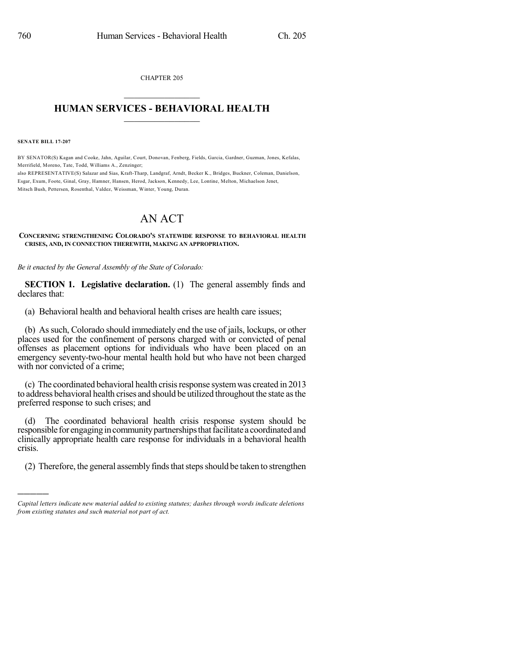CHAPTER 205  $\overline{\phantom{a}}$  . The set of the set of the set of the set of the set of the set of the set of the set of the set of the set of the set of the set of the set of the set of the set of the set of the set of the set of the set o

## **HUMAN SERVICES - BEHAVIORAL HEALTH**  $\frac{1}{2}$  ,  $\frac{1}{2}$  ,  $\frac{1}{2}$  ,  $\frac{1}{2}$  ,  $\frac{1}{2}$  ,  $\frac{1}{2}$  ,  $\frac{1}{2}$

**SENATE BILL 17-207**

)))))

BY SENATOR(S) Kagan and Cooke, Jahn, Aguilar, Court, Donovan, Fenberg, Fields, Garcia, Gardner, Guzman, Jones, Kefalas, Merrifield, Moreno, Tate, Todd, Williams A., Zenzinger; also REPRESENTATIVE(S) Salazar and Sias, Kraft-Tharp, Landgraf, Arndt, Becker K., Bridges, Buckner, Coleman, Danielson,

Esgar, Exum, Foote, Ginal, Gray, Hamner, Hansen, Herod, Jackson, Kennedy, Lee, Lontine, Melton, Michaelson Jenet, Mitsch Bush, Pettersen, Rosenthal, Valdez, Weissman, Winter, Young, Duran.

## AN ACT

**CONCERNING STRENGTHENING COLORADO'S STATEWIDE RESPONSE TO BEHAVIORAL HEALTH CRISES, AND, IN CONNECTION THEREWITH, MAKING AN APPROPRIATION.**

*Be it enacted by the General Assembly of the State of Colorado:*

**SECTION 1. Legislative declaration.** (1) The general assembly finds and declares that:

(a) Behavioral health and behavioral health crises are health care issues;

(b) Assuch, Colorado should immediately end the use of jails, lockups, or other places used for the confinement of persons charged with or convicted of penal offenses as placement options for individuals who have been placed on an emergency seventy-two-hour mental health hold but who have not been charged with nor convicted of a crime;

(c) The coordinated behavioral health crisisresponse systemwas created in 2013 to address behavioral health crises and should be utilized throughout the state asthe preferred response to such crises; and

(d) The coordinated behavioral health crisis response system should be responsible for engaging in community partnerships that facilitate a coordinated and clinically appropriate health care response for individuals in a behavioral health crisis.

(2) Therefore, the general assembly finds that steps should be taken to strengthen

*Capital letters indicate new material added to existing statutes; dashes through words indicate deletions from existing statutes and such material not part of act.*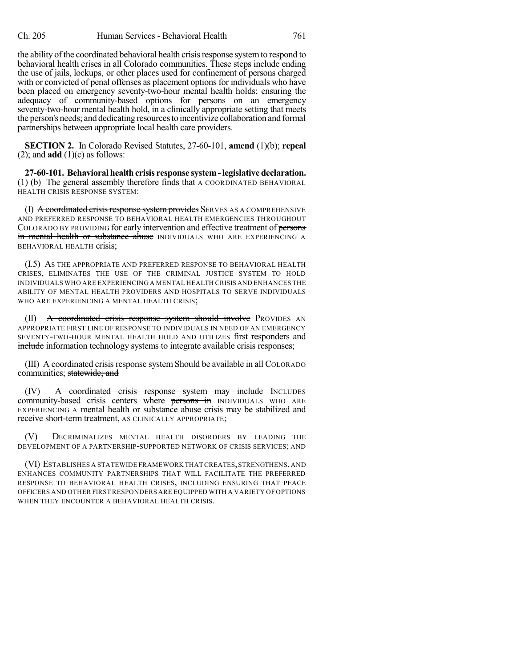the ability of the coordinated behavioral health crisisresponse systemto respond to behavioral health crises in all Colorado communities. These steps include ending the use of jails, lockups, or other places used for confinement of persons charged with or convicted of penal offenses as placement options for individuals who have been placed on emergency seventy-two-hour mental health holds; ensuring the adequacy of community-based options for persons on an emergency seventy-two-hour mental health hold, in a clinically appropriate setting that meets the person's needs; and dedicating resourcesto incentivize collaboration and formal partnerships between appropriate local health care providers.

**SECTION 2.** In Colorado Revised Statutes, 27-60-101, **amend** (1)(b); **repeal**  $(2)$ ; and **add**  $(1)(c)$  as follows:

**27-60-101. Behavioral health crisis response system-legislative declaration.** (1) (b) The general assembly therefore finds that A COORDINATED BEHAVIORAL HEALTH CRISIS RESPONSE SYSTEM:

(I)  $\overline{A}$  coordinated crisis response system provides SERVES AS A COMPREHENSIVE AND PREFERRED RESPONSE TO BEHAVIORAL HEALTH EMERGENCIES THROUGHOUT COLORADO BY PROVIDING for early intervention and effective treatment of persons in mental health or substance abuse INDIVIDUALS WHO ARE EXPERIENCING A BEHAVIORAL HEALTH crisis;

(I.5) AS THE APPROPRIATE AND PREFERRED RESPONSE TO BEHAVIORAL HEALTH CRISES, ELIMINATES THE USE OF THE CRIMINAL JUSTICE SYSTEM TO HOLD INDIVIDUALS WHO ARE EXPERIENCING A MENTAL HEALTH CRISIS AND ENHANCES THE ABILITY OF MENTAL HEALTH PROVIDERS AND HOSPITALS TO SERVE INDIVIDUALS WHO ARE EXPERIENCING A MENTAL HEALTH CRISIS;

(II) A coordinated crisis response system should involve PROVIDES AN APPROPRIATE FIRST LINE OF RESPONSE TO INDIVIDUALS IN NEED OF AN EMERGENCY SEVENTY-TWO-HOUR MENTAL HEALTH HOLD AND UTILIZES first responders and include information technology systems to integrate available crisis responses;

(III)  $\triangle$  coordinated crisis response system Should be available in all COLORADO communities; statewide; and

(IV) A coordinated crisis response system may include INCLUDES community-based crisis centers where **persons in** INDIVIDUALS WHO ARE EXPERIENCING A mental health or substance abuse crisis may be stabilized and receive short-term treatment, AS CLINICALLY APPROPRIATE;

(V) DECRIMINALIZES MENTAL HEALTH DISORDERS BY LEADING THE DEVELOPMENT OF A PARTNERSHIP-SUPPORTED NETWORK OF CRISIS SERVICES; AND

(VI) ESTABLISHES A STATEWIDE FRAMEWORK THAT CREATES,STRENGTHENS,AND ENHANCES COMMUNITY PARTNERSHIPS THAT WILL FACILITATE THE PREFERRED RESPONSE TO BEHAVIORAL HEALTH CRISES, INCLUDING ENSURING THAT PEACE OFFICERS AND OTHER FIRST RESPONDERS ARE EQUIPPED WITH A VARIETY OFOPTIONS WHEN THEY ENCOUNTER A BEHAVIORAL HEALTH CRISIS.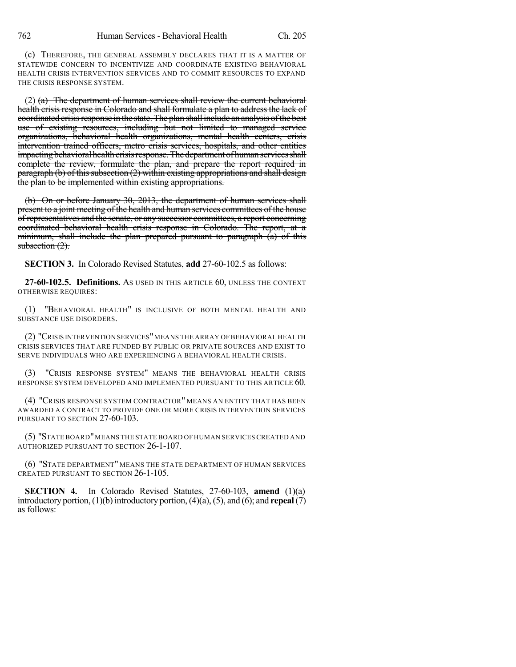(c) THEREFORE, THE GENERAL ASSEMBLY DECLARES THAT IT IS A MATTER OF STATEWIDE CONCERN TO INCENTIVIZE AND COORDINATE EXISTING BEHAVIORAL HEALTH CRISIS INTERVENTION SERVICES AND TO COMMIT RESOURCES TO EXPAND THE CRISIS RESPONSE SYSTEM.

 $(2)$  (a) The department of human services shall review the current behavioral health crisis response in Colorado and shall formulate a plan to address the lack of coordinated crisis response in the state. The plan shall include an analysis of the best use of existing resources, including but not limited to managed service organizations, behavioral health organizations, mental health centers, crisis intervention trained officers, metro crisis services, hospitals, and other entities impacting behavioral health crisis response. The department of human services shall complete the review, formulate the plan, and prepare the report required in  $\frac{1}{\frac{1}{\sqrt{2}}}\$  paragraph (b) of this subsection (2) within existing appropriations and shall design the plan to be implemented within existing appropriations.

(b) On or before January 30, 2013, the department of human services shall present to a joint meeting of the health and human services committees of the house of representatives and the senate, or any successor committees, a report concerning coordinated behavioral health crisis response in Colorado. The report, at a minimum, shall include the plan prepared pursuant to paragraph  $\overline{a}$  of this subsection  $(2)$ .

**SECTION 3.** In Colorado Revised Statutes, **add** 27-60-102.5 as follows:

**27-60-102.5. Definitions.** AS USED IN THIS ARTICLE 60, UNLESS THE CONTEXT OTHERWISE REQUIRES:

(1) "BEHAVIORAL HEALTH" IS INCLUSIVE OF BOTH MENTAL HEALTH AND SUBSTANCE USE DISORDERS.

(2) "CRISIS INTERVENTION SERVICES"MEANS THE ARRAY OF BEHAVIORAL HEALTH CRISIS SERVICES THAT ARE FUNDED BY PUBLIC OR PRIVATE SOURCES AND EXIST TO SERVE INDIVIDUALS WHO ARE EXPERIENCING A BEHAVIORAL HEALTH CRISIS.

"CRISIS RESPONSE SYSTEM" MEANS THE BEHAVIORAL HEALTH CRISIS RESPONSE SYSTEM DEVELOPED AND IMPLEMENTED PURSUANT TO THIS ARTICLE 60.

(4) "CRISIS RESPONSE SYSTEM CONTRACTOR" MEANS AN ENTITY THAT HAS BEEN AWARDED A CONTRACT TO PROVIDE ONE OR MORE CRISIS INTERVENTION SERVICES PURSUANT TO SECTION 27-60-103.

(5) "STATE BOARD"MEANS THE STATE BOARD OFHUMAN SERVICES CREATED AND AUTHORIZED PURSUANT TO SECTION 26-1-107.

(6) "STATE DEPARTMENT" MEANS THE STATE DEPARTMENT OF HUMAN SERVICES CREATED PURSUANT TO SECTION 26-1-105.

**SECTION 4.** In Colorado Revised Statutes, 27-60-103, **amend** (1)(a) introductory portion,  $(1)(b)$  introductory portion,  $(4)(a)$ ,  $(5)$ , and  $(6)$ ; and **repeal** $(7)$ as follows: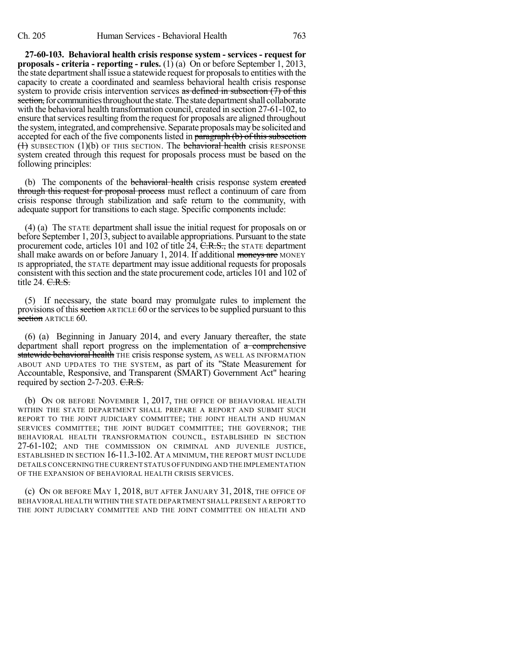**27-60-103. Behavioral health crisis response system - services - request for proposals - criteria - reporting - rules.** (1) (a) On or before September 1, 2013, the state department shall issue a statewide request for proposals to entities with the capacity to create a coordinated and seamless behavioral health crisis response system to provide crisis intervention services as defined in subsection  $(7)$  of this section, for communities throughout the state. The state department shall collaborate with the behavioral health transformation council, created in section 27-61-102, to ensure that services resulting from the request for proposals are aligned throughout the system, integrated, and comprehensive. Separate proposals may be solicited and accepted for each of the five components listed in paragraph (b) of this subsection  $(1)$  SUBSECTION  $(1)(b)$  OF THIS SECTION. The **behavioral health** crisis RESPONSE system created through this request for proposals process must be based on the following principles:

(b) The components of the **behavioral health** crisis response system created through this request for proposal process must reflect a continuum of care from crisis response through stabilization and safe return to the community, with adequate support for transitions to each stage. Specific components include:

(4) (a) The STATE department shall issue the initial request for proposals on or before September 1, 2013, subject to available appropriations. Pursuant to the state procurement code, articles 101 and 102 of title  $24$ ,  $\overline{C.R.S.}$ , the STATE department shall make awards on or before January 1, 2014. If additional moneys are MONEY IS appropriated, the STATE department may issue additional requests for proposals consistent with this section and the state procurement code, articles 101 and 102 of title 24. <del>C.R.S.</del>

(5) If necessary, the state board may promulgate rules to implement the provisions of this section ARTICLE 60 or the services to be supplied pursuant to this section ARTICLE 60.

(6) (a) Beginning in January 2014, and every January thereafter, the state department shall report progress on the implementation of a comprehensive **statewide behavioral health** THE crisis response system, AS WELL AS INFORMATION ABOUT AND UPDATES TO THE SYSTEM, as part of its "State Measurement for Accountable, Responsive, and Transparent (SMART) Government Act" hearing required by section 2-7-203.  $C.R.S.$ 

(b) ON OR BEFORE NOVEMBER 1, 2017, THE OFFICE OF BEHAVIORAL HEALTH WITHIN THE STATE DEPARTMENT SHALL PREPARE A REPORT AND SUBMIT SUCH REPORT TO THE JOINT JUDICIARY COMMITTEE; THE JOINT HEALTH AND HUMAN SERVICES COMMITTEE; THE JOINT BUDGET COMMITTEE; THE GOVERNOR; THE BEHAVIORAL HEALTH TRANSFORMATION COUNCIL, ESTABLISHED IN SECTION 27-61-102; AND THE COMMISSION ON CRIMINAL AND JUVENILE JUSTICE, ESTABLISHED IN SECTION 16-11.3-102. AT A MINIMUM, THE REPORT MUST INCLUDE DETAILS CONCERNING THE CURRENT STATUS OFFUNDINGAND THE IMPLEMENTATION OF THE EXPANSION OF BEHAVIORAL HEALTH CRISIS SERVICES.

(c) ON OR BEFORE MAY 1, 2018, BUT AFTER JANUARY 31, 2018, THE OFFICE OF BEHAVIORAL HEALTH WITHIN THE STATE DEPARTMENT SHALL PRESENT A REPORT TO THE JOINT JUDICIARY COMMITTEE AND THE JOINT COMMITTEE ON HEALTH AND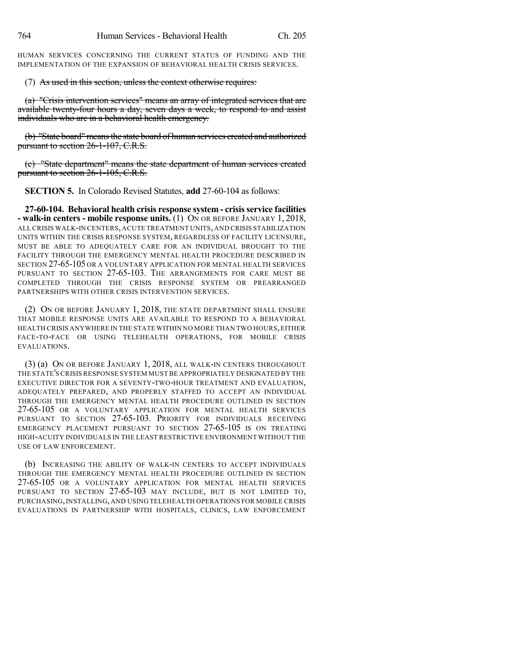HUMAN SERVICES CONCERNING THE CURRENT STATUS OF FUNDING AND THE IMPLEMENTATION OF THE EXPANSION OF BEHAVIORAL HEALTH CRISIS SERVICES.

(7) As used in this section, unless the context otherwise requires:

(a) "Crisis intervention services" means an array of integrated services that are available twenty-four hours a day, seven days a week, to respond to and assist individuals who are in a behavioral health emergency.

(b) "State board"meansthe state board of human services created and authorized pursuant to section 26-1-107, C.R.S.

(c) "State department" means the state department of human services created pursuant to section 26-1-105, C.R.S.

**SECTION 5.** In Colorado Revised Statutes, **add** 27-60-104 as follows:

**27-60-104. Behavioral health crisis response system - crisisservice facilities - walk-in centers - mobile response units.** (1) ON OR BEFORE JANUARY 1, 2018, ALL CRISIS WALK-IN CENTERS,ACUTE TREATMENT UNITS,AND CRISIS STABILIZATION UNITS WITHIN THE CRISIS RESPONSE SYSTEM, REGARDLESS OF FACILITY LICENSURE, MUST BE ABLE TO ADEQUATELY CARE FOR AN INDIVIDUAL BROUGHT TO THE FACILITY THROUGH THE EMERGENCY MENTAL HEALTH PROCEDURE DESCRIBED IN SECTION 27-65-105 OR A VOLUNTARY APPLICATION FOR MENTAL HEALTH SERVICES PURSUANT TO SECTION 27-65-103. THE ARRANGEMENTS FOR CARE MUST BE COMPLETED THROUGH THE CRISIS RESPONSE SYSTEM OR PREARRANGED PARTNERSHIPS WITH OTHER CRISIS INTERVENTION SERVICES.

(2) ON OR BEFORE JANUARY 1, 2018, THE STATE DEPARTMENT SHALL ENSURE THAT MOBILE RESPONSE UNITS ARE AVAILABLE TO RESPOND TO A BEHAVIORAL HEALTH CRISIS ANYWHERE IN THE STATE WITHIN NO MORE THAN TWO HOURS,EITHER FACE-TO-FACE OR USING TELEHEALTH OPERATIONS, FOR MOBILE CRISIS EVALUATIONS.

(3) (a) ON OR BEFORE JANUARY 1, 2018, ALL WALK-IN CENTERS THROUGHOUT THE STATE'S CRISIS RESPONSE SYSTEM MUST BE APPROPRIATELY DESIGNATED BY THE EXECUTIVE DIRECTOR FOR A SEVENTY-TWO-HOUR TREATMENT AND EVALUATION, ADEQUATELY PREPARED, AND PROPERLY STAFFED TO ACCEPT AN INDIVIDUAL THROUGH THE EMERGENCY MENTAL HEALTH PROCEDURE OUTLINED IN SECTION 27-65-105 OR A VOLUNTARY APPLICATION FOR MENTAL HEALTH SERVICES PURSUANT TO SECTION 27-65-103. PRIORITY FOR INDIVIDUALS RECEIVING EMERGENCY PLACEMENT PURSUANT TO SECTION 27-65-105 IS ON TREATING HIGH-ACUITY INDIVIDUALS IN THE LEAST RESTRICTIVE ENVIRONMENT WITHOUT THE USE OF LAW ENFORCEMENT.

(b) INCREASING THE ABILITY OF WALK-IN CENTERS TO ACCEPT INDIVIDUALS THROUGH THE EMERGENCY MENTAL HEALTH PROCEDURE OUTLINED IN SECTION 27-65-105 OR A VOLUNTARY APPLICATION FOR MENTAL HEALTH SERVICES PURSUANT TO SECTION 27-65-103 MAY INCLUDE, BUT IS NOT LIMITED TO, PURCHASING,INSTALLING, AND USING TELEHEALTH OPERATIONS FOR MOBILE CRISIS EVALUATIONS IN PARTNERSHIP WITH HOSPITALS, CLINICS, LAW ENFORCEMENT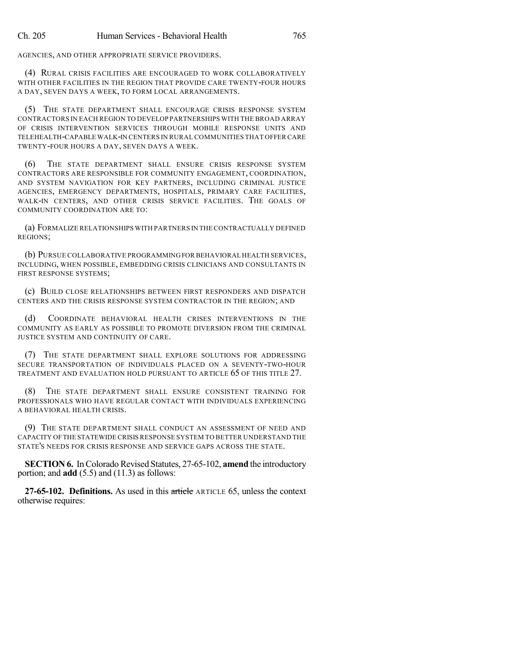AGENCIES, AND OTHER APPROPRIATE SERVICE PROVIDERS.

(4) RURAL CRISIS FACILITIES ARE ENCOURAGED TO WORK COLLABORATIVELY WITH OTHER FACILITIES IN THE REGION THAT PROVIDE CARE TWENTY-FOUR HOURS A DAY, SEVEN DAYS A WEEK, TO FORM LOCAL ARRANGEMENTS.

(5) THE STATE DEPARTMENT SHALL ENCOURAGE CRISIS RESPONSE SYSTEM CONTRACTORS IN EACH REGION TO DEVELOP PARTNERSHIPS WITH THE BROAD ARRAY OF CRISIS INTERVENTION SERVICES THROUGH MOBILE RESPONSE UNITS AND TELEHEALTH-CAPABLE WALK-IN CENTERS IN RURAL COMMUNITIES THAT OFFER CARE TWENTY-FOUR HOURS A DAY, SEVEN DAYS A WEEK.

(6) THE STATE DEPARTMENT SHALL ENSURE CRISIS RESPONSE SYSTEM CONTRACTORS ARE RESPONSIBLE FOR COMMUNITY ENGAGEMENT, COORDINATION, AND SYSTEM NAVIGATION FOR KEY PARTNERS, INCLUDING CRIMINAL JUSTICE AGENCIES, EMERGENCY DEPARTMENTS, HOSPITALS, PRIMARY CARE FACILITIES, WALK-IN CENTERS, AND OTHER CRISIS SERVICE FACILITIES. THE GOALS OF COMMUNITY COORDINATION ARE TO:

(a) FORMALIZE RELATIONSHIPS WITH PARTNERS IN THE CONTRACTUALLY DEFINED REGIONS;

(b) PURSUE COLLABORATIVE PROGRAMMINGFOR BEHAVIORAL HEALTH SERVICES, INCLUDING, WHEN POSSIBLE, EMBEDDING CRISIS CLINICIANS AND CONSULTANTS IN FIRST RESPONSE SYSTEMS;

(c) BUILD CLOSE RELATIONSHIPS BETWEEN FIRST RESPONDERS AND DISPATCH CENTERS AND THE CRISIS RESPONSE SYSTEM CONTRACTOR IN THE REGION; AND

(d) COORDINATE BEHAVIORAL HEALTH CRISES INTERVENTIONS IN THE COMMUNITY AS EARLY AS POSSIBLE TO PROMOTE DIVERSION FROM THE CRIMINAL JUSTICE SYSTEM AND CONTINUITY OF CARE.

(7) THE STATE DEPARTMENT SHALL EXPLORE SOLUTIONS FOR ADDRESSING SECURE TRANSPORTATION OF INDIVIDUALS PLACED ON A SEVENTY-TWO-HOUR TREATMENT AND EVALUATION HOLD PURSUANT TO ARTICLE 65 OF THIS TITLE 27.

(8) THE STATE DEPARTMENT SHALL ENSURE CONSISTENT TRAINING FOR PROFESSIONALS WHO HAVE REGULAR CONTACT WITH INDIVIDUALS EXPERIENCING A BEHAVIORAL HEALTH CRISIS.

(9) THE STATE DEPARTMENT SHALL CONDUCT AN ASSESSMENT OF NEED AND CAPACITY OFTHE STATEWIDE CRISISRESPONSE SYSTEM TO BETTER UNDERSTAND THE STATE'S NEEDS FOR CRISIS RESPONSE AND SERVICE GAPS ACROSS THE STATE.

**SECTION 6.** In Colorado Revised Statutes, 27-65-102, **amend** the introductory portion; and **add** (5.5) and (11.3) as follows:

**27-65-102. Definitions.** As used in this article ARTICLE 65, unless the context otherwise requires: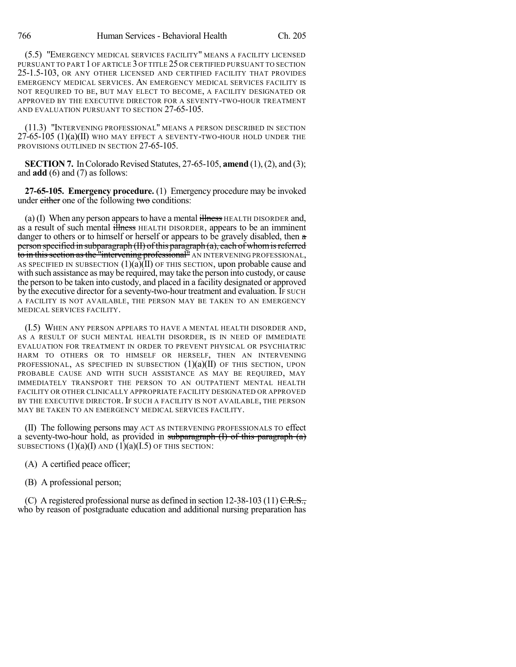(5.5) "EMERGENCY MEDICAL SERVICES FACILITY" MEANS A FACILITY LICENSED PURSUANT TO PART 1 OF ARTICLE 3 OF TITLE 25OR CERTIFIED PURSUANT TO SECTION 25-1.5-103, OR ANY OTHER LICENSED AND CERTIFIED FACILITY THAT PROVIDES EMERGENCY MEDICAL SERVICES. AN EMERGENCY MEDICAL SERVICES FACILITY IS NOT REQUIRED TO BE, BUT MAY ELECT TO BECOME, A FACILITY DESIGNATED OR APPROVED BY THE EXECUTIVE DIRECTOR FOR A SEVENTY-TWO-HOUR TREATMENT AND EVALUATION PURSUANT TO SECTION 27-65-105.

(11.3) "INTERVENING PROFESSIONAL" MEANS A PERSON DESCRIBED IN SECTION  $27-65-105$  (1)(a)(II) WHO MAY EFFECT A SEVENTY-TWO-HOUR HOLD UNDER THE PROVISIONS OUTLINED IN SECTION 27-65-105.

**SECTION 7.** In Colorado Revised Statutes,  $27-65-105$ , **amend**  $(1)$ ,  $(2)$ , and  $(3)$ ; and **add** (6) and (7) as follows:

**27-65-105. Emergency procedure.** (1) Emergency procedure may be invoked under either one of the following two conditions:

(a) (I) When any person appears to have a mental  $\frac{1}{100}$  Here HEALTH DISORDER and, as a result of such mental illness HEALTH DISORDER, appears to be an imminent danger to others or to himself or herself or appears to be gravely disabled, then  $\alpha$ person specified in subparagraph  $(H)$  of this paragraph  $(a)$ , each of whom is referred to in this section as the "intervening professional" AN INTERVENING PROFESSIONAL, AS SPECIFIED IN SUBSECTION  $(1)(a)(II)$  OF THIS SECTION, upon probable cause and with such assistance as may be required, may take the person into custody, or cause the person to be taken into custody, and placed in a facility designated or approved by the executive director for a seventy-two-hour treatment and evaluation. IF SUCH A FACILITY IS NOT AVAILABLE, THE PERSON MAY BE TAKEN TO AN EMERGENCY MEDICAL SERVICES FACILITY.

(I.5) WHEN ANY PERSON APPEARS TO HAVE A MENTAL HEALTH DISORDER AND, AS A RESULT OF SUCH MENTAL HEALTH DISORDER, IS IN NEED OF IMMEDIATE EVALUATION FOR TREATMENT IN ORDER TO PREVENT PHYSICAL OR PSYCHIATRIC HARM TO OTHERS OR TO HIMSELF OR HERSELF, THEN AN INTERVENING PROFESSIONAL, AS SPECIFIED IN SUBSECTION  $(1)(a)(II)$  of this section, upon PROBABLE CAUSE AND WITH SUCH ASSISTANCE AS MAY BE REQUIRED, MAY IMMEDIATELY TRANSPORT THE PERSON TO AN OUTPATIENT MENTAL HEALTH FACILITY OR OTHER CLINICALLY APPROPRIATE FACILITY DESIGNATED OR APPROVED BY THE EXECUTIVE DIRECTOR. IF SUCH A FACILITY IS NOT AVAILABLE, THE PERSON MAY BE TAKEN TO AN EMERGENCY MEDICAL SERVICES FACILITY.

(II) The following persons may ACT AS INTERVENING PROFESSIONALS TO effect a seventy-two-hour hold, as provided in subparagraph  $(I)$  of this paragraph  $(a)$ SUBSECTIONS  $(1)(a)(I)$  AND  $(1)(a)(I.5)$  OF THIS SECTION:

(A) A certified peace officer;

(B) A professional person;

(C) A registered professional nurse as defined in section  $12-38-103$  (11)  $C.R.S.,$ who by reason of postgraduate education and additional nursing preparation has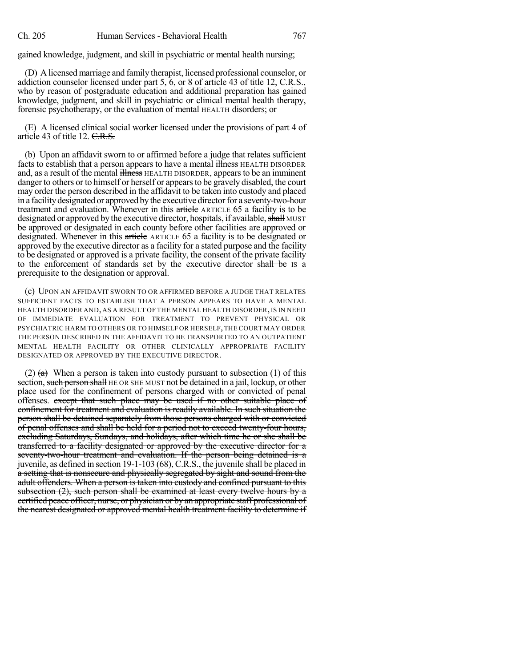gained knowledge, judgment, and skill in psychiatric or mental health nursing;

(D) A licensed marriage and family therapist, licensed professional counselor, or addiction counselor licensed under part 5, 6, or 8 of article 43 of title 12, C.R.S., who by reason of postgraduate education and additional preparation has gained knowledge, judgment, and skill in psychiatric or clinical mental health therapy, forensic psychotherapy, or the evaluation of mental HEALTH disorders; or

(E) A licensed clinical social worker licensed under the provisions of part 4 of article 43 of title 12. C.R.S.

(b) Upon an affidavit sworn to or affirmed before a judge that relates sufficient facts to establish that a person appears to have a mental illness HEALTH DISORDER and, as a result of the mental illness HEALTH DISORDER, appears to be an imminent danger to others or to himself or herself or appears to be gravely disabled, the court may order the person described in the affidavit to be taken into custody and placed in a facility designated or approved by the executive director for a seventy-two-hour treatment and evaluation. Whenever in this article ARTICLE 65 a facility is to be designated or approved by the executive director, hospitals, if available, shall MUST be approved or designated in each county before other facilities are approved or designated. Whenever in this article ARTICLE 65 a facility is to be designated or approved by the executive director as a facility for a stated purpose and the facility to be designated or approved is a private facility, the consent of the private facility to the enforcement of standards set by the executive director shall be IS a prerequisite to the designation or approval.

(c) UPON AN AFFIDAVIT SWORN TO OR AFFIRMED BEFORE A JUDGE THAT RELATES SUFFICIENT FACTS TO ESTABLISH THAT A PERSON APPEARS TO HAVE A MENTAL HEALTH DISORDER AND, AS A RESULT OF THE MENTAL HEALTH DISORDER, IS IN NEED OF IMMEDIATE EVALUATION FOR TREATMENT TO PREVENT PHYSICAL OR PSYCHIATRIC HARM TO OTHERS OR TO HIMSELF OR HERSELF,THE COURT MAY ORDER THE PERSON DESCRIBED IN THE AFFIDAVIT TO BE TRANSPORTED TO AN OUTPATIENT MENTAL HEALTH FACILITY OR OTHER CLINICALLY APPROPRIATE FACILITY DESIGNATED OR APPROVED BY THE EXECUTIVE DIRECTOR.

(2)  $(a)$  When a person is taken into custody pursuant to subsection (1) of this section, such person shall HE OR SHE MUST not be detained in a jail, lockup, or other place used for the confinement of persons charged with or convicted of penal offenses. except that such place may be used if no other suitable place of confinement for treatment and evaluation is readily available. In such situation the person shall be detained separately from those persons charged with or convicted of penal offenses and shall be held for a period not to exceed twenty-four hours, excluding Saturdays, Sundays, and holidays, after which time he or she shall be transferred to a facility designated or approved by the executive director for a seventy-two-hour treatment and evaluation. If the person being detained is a juvenile, as defined in section 19-1-103 (68), C.R.S., the juvenile shall be placed in a setting that is nonsecure and physically segregated by sight and sound from the adult offenders. When a person is taken into custody and confined pursuant to this subsection (2), such person shall be examined at least every twelve hours by a certified peace officer, nurse, or physician or by an appropriate staff professional of the nearest designated or approved mental health treatment facility to determine if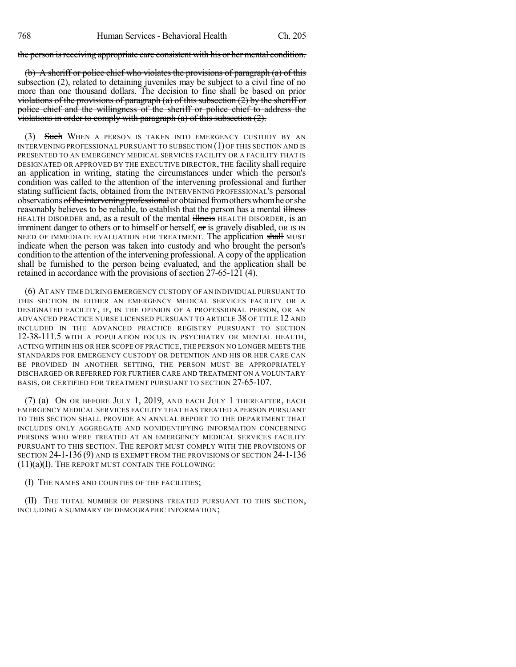the person is receiving appropriate care consistent with his or her mental condition.

(b) A sheriff or police chief who violates the provisions of paragraph (a) of this subsection  $(2)$ , related to detaining juveniles may be subject to a civil fine of no more than one thousand dollars. The decision to fine shall be based on prior violations of the provisions of paragraph (a) of this subsection (2) by the sheriff or police chief and the willingness of the sheriff or police chief to address the violations in order to comply with paragraph  $(a)$  of this subsection  $(2)$ .

(3) Such WHEN A PERSON IS TAKEN INTO EMERGENCY CUSTODY BY AN INTERVENING PROFESSIONAL PURSUANT TO SUBSECTION (1) OF THIS SECTION AND IS PRESENTED TO AN EMERGENCY MEDICAL SERVICES FACILITY OR A FACILITY THAT IS DESIGNATED OR APPROVED BY THE EXECUTIVE DIRECTOR, THE facility shall require an application in writing, stating the circumstances under which the person's condition was called to the attention of the intervening professional and further stating sufficient facts, obtained from the INTERVENING PROFESSIONAL'S personal observations of the intervening professional or obtained from others whom he or she reasonably believes to be reliable, to establish that the person has a mental illness HEALTH DISORDER and, as a result of the mental illness HEALTH DISORDER, is an imminent danger to others or to himself or herself,  $\sigma$ r is gravely disabled, OR IS IN NEED OF IMMEDIATE EVALUATION FOR TREATMENT. The application shall MUST indicate when the person was taken into custody and who brought the person's condition to the attention of the intervening professional. A copy of the application shall be furnished to the person being evaluated, and the application shall be retained in accordance with the provisions of section 27-65-121 (4).

(6) AT ANY TIME DURING EMERGENCY CUSTODY OF AN INDIVIDUAL PURSUANT TO THIS SECTION IN EITHER AN EMERGENCY MEDICAL SERVICES FACILITY OR A DESIGNATED FACILITY, IF, IN THE OPINION OF A PROFESSIONAL PERSON, OR AN ADVANCED PRACTICE NURSE LICENSED PURSUANT TO ARTICLE 38 OF TITLE 12 AND INCLUDED IN THE ADVANCED PRACTICE REGISTRY PURSUANT TO SECTION 12-38-111.5 WITH A POPULATION FOCUS IN PSYCHIATRY OR MENTAL HEALTH, ACTING WITHIN HIS OR HER SCOPE OF PRACTICE, THE PERSON NO LONGER MEETS THE STANDARDS FOR EMERGENCY CUSTODY OR DETENTION AND HIS OR HER CARE CAN BE PROVIDED IN ANOTHER SETTING, THE PERSON MUST BE APPROPRIATELY DISCHARGED OR REFERRED FOR FURTHER CARE AND TREATMENT ON A VOLUNTARY BASIS, OR CERTIFIED FOR TREATMENT PURSUANT TO SECTION 27-65-107.

(7) (a) ON OR BEFORE JULY 1, 2019, AND EACH JULY 1 THEREAFTER, EACH EMERGENCY MEDICAL SERVICES FACILITY THAT HAS TREATED A PERSON PURSUANT TO THIS SECTION SHALL PROVIDE AN ANNUAL REPORT TO THE DEPARTMENT THAT INCLUDES ONLY AGGREGATE AND NONIDENTIFYING INFORMATION CONCERNING PERSONS WHO WERE TREATED AT AN EMERGENCY MEDICAL SERVICES FACILITY PURSUANT TO THIS SECTION. THE REPORT MUST COMPLY WITH THE PROVISIONS OF SECTION 24-1-136 (9) AND IS EXEMPT FROM THE PROVISIONS OF SECTION 24-1-136  $(11)(a)$ (I). The report must contain the following:

(I) THE NAMES AND COUNTIES OF THE FACILITIES;

(II) THE TOTAL NUMBER OF PERSONS TREATED PURSUANT TO THIS SECTION, INCLUDING A SUMMARY OF DEMOGRAPHIC INFORMATION;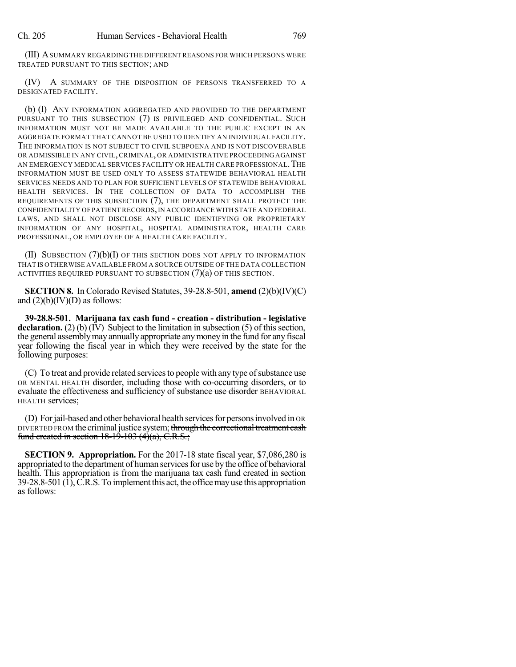(III) ASUMMARY REGARDING THE DIFFERENT REASONS FOR WHICH PERSONS WERE TREATED PURSUANT TO THIS SECTION; AND

(IV) A SUMMARY OF THE DISPOSITION OF PERSONS TRANSFERRED TO A DESIGNATED FACILITY.

(b) (I) ANY INFORMATION AGGREGATED AND PROVIDED TO THE DEPARTMENT PURSUANT TO THIS SUBSECTION (7) IS PRIVILEGED AND CONFIDENTIAL. SUCH INFORMATION MUST NOT BE MADE AVAILABLE TO THE PUBLIC EXCEPT IN AN AGGREGATE FORMAT THAT CANNOT BE USED TO IDENTIFY AN INDIVIDUAL FACILITY. THE INFORMATION IS NOT SUBJECT TO CIVIL SUBPOENA AND IS NOT DISCOVERABLE OR ADMISSIBLE IN ANY CIVIL, CRIMINAL, OR ADMINISTRATIVE PROCEEDING AGAINST AN EMERGENCY MEDICAL SERVICES FACILITY OR HEALTH CARE PROFESSIONAL. THE INFORMATION MUST BE USED ONLY TO ASSESS STATEWIDE BEHAVIORAL HEALTH SERVICES NEEDS AND TO PLAN FOR SUFFICIENT LEVELS OF STATEWIDE BEHAVIORAL HEALTH SERVICES. IN THE COLLECTION OF DATA TO ACCOMPLISH THE REQUIREMENTS OF THIS SUBSECTION (7), THE DEPARTMENT SHALL PROTECT THE CONFIDENTIALITY OF PATIENT RECORDS,IN ACCORDANCE WITH STATE AND FEDERAL LAWS, AND SHALL NOT DISCLOSE ANY PUBLIC IDENTIFYING OR PROPRIETARY INFORMATION OF ANY HOSPITAL, HOSPITAL ADMINISTRATOR, HEALTH CARE PROFESSIONAL, OR EMPLOYEE OF A HEALTH CARE FACILITY.

(II) SUBSECTION  $(7)(b)(I)$  OF THIS SECTION DOES NOT APPLY TO INFORMATION THAT IS OTHERWISE AVAILABLE FROM A SOURCE OUTSIDE OF THE DATA COLLECTION ACTIVITIES REQUIRED PURSUANT TO SUBSECTION (7)(a) OF THIS SECTION.

**SECTION 8.** In Colorado Revised Statutes, 39-28.8-501, **amend** (2)(b)(IV)(C) and  $(2)(b)(IV)(D)$  as follows:

**39-28.8-501. Marijuana tax cash fund - creation - distribution - legislative declaration.** (2) (b) (IV) Subject to the limitation in subsection (5) of this section, the general assemblymay annually appropriate anymoney in the fund for any fiscal year following the fiscal year in which they were received by the state for the following purposes:

(C) To treat and provide related services to people with any type of substance use OR MENTAL HEALTH disorder, including those with co-occurring disorders, or to evaluate the effectiveness and sufficiency of substance use disorder BEHAVIORAL HEALTH services;

(D) For jail-based and other behavioral health services for persons involved in OR DIVERTED FROM the criminal justice system; through the correctional treatment cash fund created in section  $18-19-103$  (4)(a), C.R.S.;

**SECTION 9. Appropriation.** For the 2017-18 state fiscal year, \$7,086,280 is appropriated to the department of human services for use by the office of behavioral health. This appropriation is from the marijuana tax cash fund created in section 39-28.8-501 (1),C.R.S. To implement this act, the officemayuse this appropriation as follows: